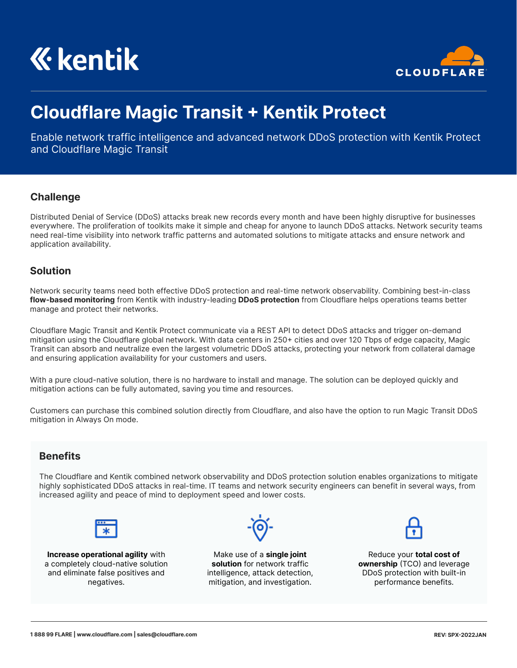



# **Cloudflare Magic Transit + Kentik Protect**

Enable network traffic intelligence and advanced network DDoS protection with Kentik Protect and Cloudflare Magic Transit

### **Challenge**

Distributed Denial of Service (DDoS) attacks break new records every month and have been highly disruptive for businesses everywhere. The proliferation of toolkits make it simple and cheap for anyone to launch DDoS attacks. Network security teams need real-time visibility into network traffic patterns and automated solutions to mitigate attacks and ensure network and application availability.

#### **Solution**

Network security teams need both effective DDoS protection and real-time network observability. Combining best-in-class **flow-based monitoring** from Kentik with industry-leading **DDoS protection** from Cloudflare helps operations teams better manage and protect their networks.

Cloudflare Magic Transit and Kentik Protect communicate via a REST API to detect DDoS attacks and trigger on-demand mitigation using the Cloudflare global network. With data centers in 250+ cities and over 120 Tbps of edge capacity, Magic Transit can absorb and neutralize even the largest volumetric DDoS attacks, protecting your network from collateral damage and ensuring application availability for your customers and users.

With a pure cloud-native solution, there is no hardware to install and manage. The solution can be deployed quickly and mitigation actions can be fully automated, saving you time and resources.

Customers can purchase this combined solution directly from Cloudflare, and also have the option to run Magic Transit DDoS mitigation in Always On mode.

# **Benefits**

The Cloudflare and Kentik combined network observability and DDoS protection solution enables organizations to mitigate highly sophisticated DDoS attacks in real-time. IT teams and network security engineers can benefit in several ways, from increased agility and peace of mind to deployment speed and lower costs.



**Increase operational agility** with a completely cloud-native solution and eliminate false positives and negatives.

Make use of a **single joint solution** for network traffic intelligence, attack detection, mitigation, and investigation.



Reduce your **total cost of ownership** (TCO) and leverage DDoS protection with built-in performance benefits.